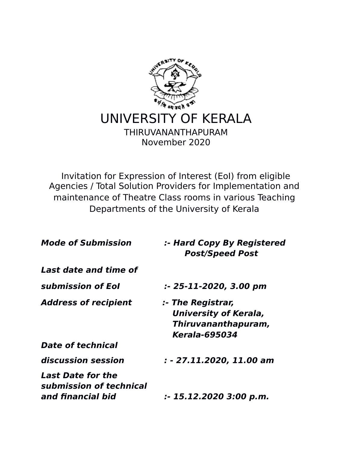

Invitation for Expression of Interest (EoI) from eligible Agencies / Total Solution Providers for Implementation and maintenance of Theatre Class rooms in various Teaching Departments of the University of Kerala

| <b>Mode of Submission</b>                           | :- Hard Copy By Registered<br><b>Post/Speed Post</b>                                      |
|-----------------------------------------------------|-------------------------------------------------------------------------------------------|
| Last date and time of                               |                                                                                           |
| submission of Eol                                   | :- 25-11-2020, 3.00 pm                                                                    |
| <b>Address of recipient</b>                         | :- The Registrar,<br><b>University of Kerala,</b><br>Thiruvananthapuram,<br>Kerala-695034 |
| <b>Date of technical</b>                            |                                                                                           |
| discussion session                                  | : - 27.11.2020, 11.00 am                                                                  |
| <b>Last Date for the</b><br>submission of technical |                                                                                           |
| and financial bid                                   | :- 15.12.2020 3:00 p.m.                                                                   |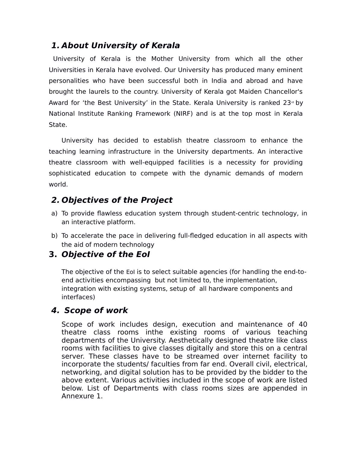# **1. About University of Kerala**

University of Kerala is the Mother University from which all the other Universities in Kerala have evolved. Our University has produced many eminent personalities who have been successful both in India and abroad and have brought the laurels to the country. University of Kerala got Maiden Chancellor's Award for 'the Best University' in the State. Kerala University is ranked  $23^{\omega}$  by National Institute Ranking Framework (NIRF) and is at the top most in Kerala State.

University has decided to establish theatre classroom to enhance the teaching learning infrastructure in the University departments. An interactive theatre classroom with well-equipped facilities is a necessity for providing sophisticated education to compete with the dynamic demands of modern world.

# **2. Objectives of the Project**

- a) To provide flawless education system through student-centric technology, in an interactive platform.
- b) To accelerate the pace in delivering full-fledged education in all aspects with the aid of modern technology

## **3. Objective of the EoI**

The objective of the EoI is to select suitable agencies (for handling the end-toend activities encompassing but not limited to, the implementation, integration with existing systems, setup of all hardware components and interfaces)

# **4. Scope of work**

Scope of work includes design, execution and maintenance of 40 theatre class rooms inthe existing rooms of various teaching departments of the University. Aesthetically designed theatre like class rooms with facilities to give classes digitally and store this on a central server. These classes have to be streamed over internet facility to incorporate the students/ faculties from far end. Overall civil, electrical, networking, and digital solution has to be provided by the bidder to the above extent. Various activities included in the scope of work are listed below. List of Departments with class rooms sizes are appended in Annexure 1.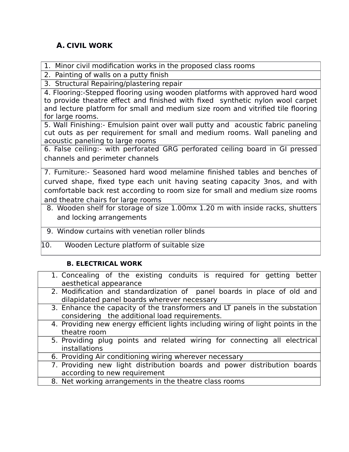### **A. CIVIL WORK**

- 1. Minor civil modification works in the proposed class rooms
- 2. Painting of walls on a putty finish

3. Structural Repairing/plastering repair

4. Flooring:-Stepped flooring using wooden platforms with approved hard wood to provide theatre effect and finished with fixed synthetic nylon wool carpet and lecture platform for small and medium size room and vitrified tile flooring for large rooms.

5. Wall Finishing:- Emulsion paint over wall putty and acoustic fabric paneling cut outs as per requirement for small and medium rooms. Wall paneling and acoustic paneling to large rooms

6. False ceiling:- with perforated GRG perforated ceiling board in GI pressed channels and perimeter channels

7. Furniture:- Seasoned hard wood melamine finished tables and benches of curved shape, fixed type each unit having seating capacity 3nos, and with comfortable back rest according to room size for small and medium size rooms and theatre chairs for large rooms

- 8. Wooden shelf for storage of size 1.00mx 1.20 m with inside racks, shutters and locking arrangements
- 9. Window curtains with venetian roller blinds
- 10. Wooden Lecture platform of suitable size

#### **B. ELECTRICAL WORK**

| 1. Concealing of the existing conduits is required for getting better<br>aesthetical appearance                              |
|------------------------------------------------------------------------------------------------------------------------------|
| 2. Modification and standardization of panel boards in place of old and<br>dilapidated panel boards wherever necessary       |
| 3. Enhance the capacity of the transformers and LT panels in the substation<br>considering the additional load requirements. |
| 4. Providing new energy efficient lights including wiring of light points in the<br>theatre room                             |
| 5. Providing plug points and related wiring for connecting all electrical<br>installations                                   |
| 6. Providing Air conditioning wiring wherever necessary                                                                      |
| 7. Providing new light distribution boards and power distribution boards<br>according to new requirement                     |

8. Net working arrangements in the theatre class rooms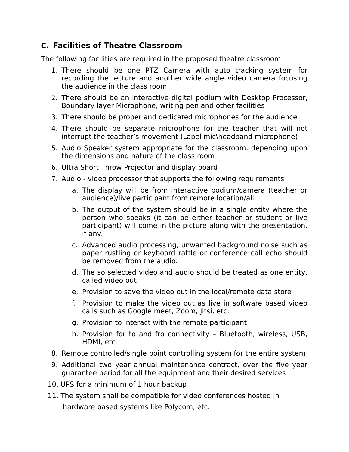## **C. Facilities of Theatre Classroom**

The following facilities are required in the proposed theatre classroom

- 1. There should be one PTZ Camera with auto tracking system for recording the lecture and another wide angle video camera focusing the audience in the class room
- 2. There should be an interactive digital podium with Desktop Processor, Boundary layer Microphone, writing pen and other facilities
- 3. There should be proper and dedicated microphones for the audience
- 4. There should be separate microphone for the teacher that will not interrupt the teacher's movement (Lapel mic\headband microphone)
- 5. Audio Speaker system appropriate for the classroom, depending upon the dimensions and nature of the class room
- 6. Ultra Short Throw Projector and display board
- 7. Audio video processor that supports the following requirements
	- a. The display will be from interactive podium/camera (teacher or audience)/live participant from remote location/all
	- b. The output of the system should be in a single entity where the person who speaks (it can be either teacher or student or live participant) will come in the picture along with the presentation, if any.
	- c. Advanced audio processing, unwanted background noise such as paper rustling or keyboard rattle or conference call echo should be removed from the audio.
	- d. The so selected video and audio should be treated as one entity, called video out
	- e. Provision to save the video out in the local/remote data store
	- f. Provision to make the video out as live in software based video calls such as Google meet, Zoom, Jitsi, etc.
	- g. Provision to interact with the remote participant
	- h. Provision for to and fro connectivity Bluetooth, wireless, USB, HDMI, etc
- 8. Remote controlled/single point controlling system for the entire system
- 9. Additional two year annual maintenance contract, over the five year guarantee period for all the equipment and their desired services
- 10. UPS for a minimum of 1 hour backup
- 11. The system shall be compatible for video conferences hosted in hardware based systems like Polycom, etc.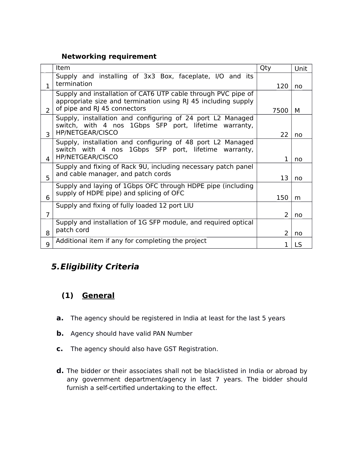#### **Networking requirement**

|                | Item                                                                                                                                           | Qty            | Unit      |
|----------------|------------------------------------------------------------------------------------------------------------------------------------------------|----------------|-----------|
|                | Supply and installing of 3x3 Box, faceplate, I/O and its                                                                                       |                |           |
| $\overline{1}$ | termination                                                                                                                                    | 120            | no        |
|                | Supply and installation of CAT6 UTP cable through PVC pipe of<br>appropriate size and termination using RJ 45 including supply                 |                |           |
| $\overline{2}$ | of pipe and RJ 45 connectors                                                                                                                   | 7500           | м         |
| 3              | Supply, installation and configuring of 24 port L2 Managed<br>switch, with 4 nos 1Gbps SFP port, lifetime warranty,<br><b>HP/NETGEAR/CISCO</b> | 22             |           |
|                |                                                                                                                                                |                | no        |
|                | Supply, installation and configuring of 48 port L2 Managed<br>switch with 4 nos 1Gbps SFP port, lifetime warranty,                             |                |           |
| 4              | <b>HP/NETGEAR/CISCO</b>                                                                                                                        | $\mathbf 1$    | no        |
|                | Supply and fixing of Rack 9U, including necessary patch panel                                                                                  |                |           |
| 5              | and cable manager, and patch cords                                                                                                             | 13             | no        |
|                | Supply and laying of 1Gbps OFC through HDPE pipe (including                                                                                    |                |           |
| 6              | supply of HDPE pipe) and splicing of OFC                                                                                                       | 150            | m         |
|                | Supply and fixing of fully loaded 12 port LIU                                                                                                  |                |           |
| $\overline{7}$ |                                                                                                                                                | 2              | no        |
|                | Supply and installation of 1G SFP module, and required optical                                                                                 |                |           |
| 8              | patch cord                                                                                                                                     | $\overline{2}$ | no        |
| 9              | Additional item if any for completing the project                                                                                              | 1              | <b>LS</b> |

# **5.Eligibility Criteria**

## **(1) General**

- **a.** The agency should be registered in India at least for the last 5 years
- **b.** Agency should have valid PAN Number
- **c.** The agency should also have GST Registration.
- **d.** The bidder or their associates shall not be blacklisted in India or abroad by any government department/agency in last 7 years. The bidder should furnish a self-certified undertaking to the effect.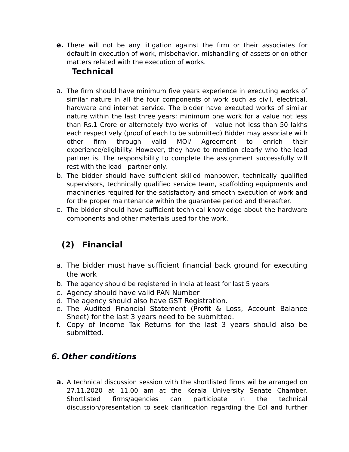**e.** There will not be any litigation against the firm or their associates for default in execution of work, misbehavior, mishandling of assets or on other matters related with the execution of works.

## **Technical**

- a. The firm should have minimum five years experience in executing works of similar nature in all the four components of work such as civil, electrical, hardware and internet service. The bidder have executed works of similar nature within the last three years; minimum one work for a value not less than Rs.1 Crore or alternately two works of value not less than 50 lakhs each respectively (proof of each to be submitted) Bidder may associate with other firm through valid MOI/ Agreement to enrich their experience/eligibility. However, they have to mention clearly who the lead partner is. The responsibility to complete the assignment successfully will rest with the lead partner only.
- b. The bidder should have sufficient skilled manpower, technically qualified supervisors, technically qualified service team, scaffolding equipments and machineries required for the satisfactory and smooth execution of work and for the proper maintenance within the guarantee period and thereafter.
- c. The bidder should have sufficient technical knowledge about the hardware components and other materials used for the work.

# **(2) Financial**

- a. The bidder must have sufficient financial back ground for executing the work
- b. The agency should be registered in India at least for last 5 years
- c. Agency should have valid PAN Number
- d. The agency should also have GST Registration.
- e. The Audited Financial Statement (Profit & Loss, Account Balance Sheet) for the last 3 years need to be submitted.
- f. Copy of Income Tax Returns for the last 3 years should also be submitted.

# **6. Other conditions**

**a.** A technical discussion session with the shortlisted firms wil be arranged on 27.11.2020 at 11.00 am at the Kerala University Senate Chamber. Shortlisted firms/agencies can participate in the technical discussion/presentation to seek clarification regarding the EoI and further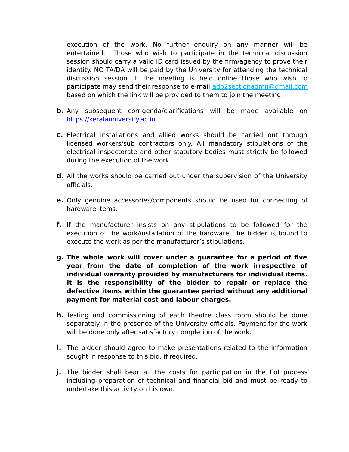execution of the work. No further enquiry on any manner will be entertained. Those who wish to participate in the technical discussion session should carry a valid ID card issued by the firm/agency to prove their identity. NO TA/DA will be paid by the University for attending the technical discussion session. If the meeting is held online those who wish to participate may send their response to e-mail [adb2 sectionadmn@gmail.com](mailto:adb2admn@gmail.com) based on which the link will be provided to them to join the meeting.

- **b.** Any subsequent corrigenda/clarifications will be made available on https://keralauniversity.ac.in
- **c.** Electrical installations and allied works should be carried out through licensed workers/sub contractors only. All mandatory stipulations of the electrical inspectorate and other statutory bodies must strictly be followed during the execution of the work.
- **d.** All the works should be carried out under the supervision of the University officials.
- **e.** Only genuine accessories/components should be used for connecting of hardware items.
- **f.** If the manufacturer insists on any stipulations to be followed for the execution of the work/installation of the hardware, the bidder is bound to execute the work as per the manufacturer's stipulations.
- **g. The whole work will cover under a guarantee for a period of five year from the date of completion of the work irrespective of individual warranty provided by manufacturers for individual items. It is the responsibility of the bidder to repair or replace the defective items within the guarantee period without any additional payment for material cost and labour charges.**
- **h.** Testing and commissioning of each theatre class room should be done separately in the presence of the University officials. Payment for the work will be done only after satisfactory completion of the work.
- **i.** The bidder should agree to make presentations related to the information sought in response to this bid, if required.
- **j.** The bidder shall bear all the costs for participation in the EoI process including preparation of technical and financial bid and must be ready to undertake this activity on his own.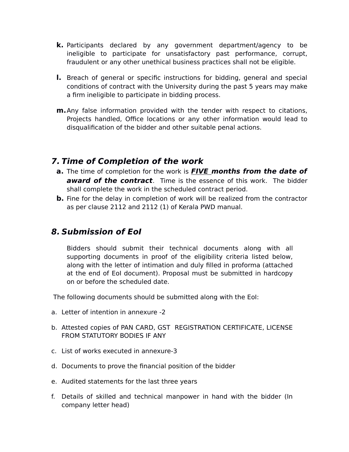- **k.** Participants declared by any government department/agency to be ineligible to participate for unsatisfactory past performance, corrupt, fraudulent or any other unethical business practices shall not be eligible.
- **l.** Breach of general or specific instructions for bidding, general and special conditions of contract with the University during the past 5 years may make a firm ineligible to participate in bidding process.
- **m.**Any false information provided with the tender with respect to citations, Projects handled, Office locations or any other information would lead to disqualification of the bidder and other suitable penal actions.

### **7. Time of Completion of the work**

- **a.** The time of completion for the work is **FIVE months from the date of award of the contract**. Time is the essence of this work. The bidder shall complete the work in the scheduled contract period.
- **b.** Fine for the delay in completion of work will be realized from the contractor as per clause 2112 and 2112 (1) of Kerala PWD manual.

## **8. Submission of EoI**

Bidders should submit their technical documents along with all supporting documents in proof of the eligibility criteria listed below, along with the letter of intimation and duly filled in proforma (attached at the end of EoI document). Proposal must be submitted in hardcopy on or before the scheduled date.

The following documents should be submitted along with the EoI:

- a. Letter of intention in annexure -2
- b. Attested copies of PAN CARD, GST REGISTRATION CERTIFICATE, LICENSE FROM STATUTORY BODIES IF ANY
- c. List of works executed in annexure-3
- d. Documents to prove the financial position of the bidder
- e. Audited statements for the last three years
- f. Details of skilled and technical manpower in hand with the bidder (In company letter head)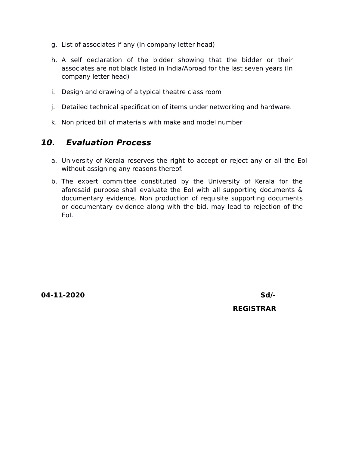- g. List of associates if any (In company letter head)
- h. A self declaration of the bidder showing that the bidder or their associates are not black listed in India/Abroad for the last seven years (In company letter head)
- i. Design and drawing of a typical theatre class room
- j. Detailed technical specification of items under networking and hardware.
- k. Non priced bill of materials with make and model number

## **10. Evaluation Process**

- a. University of Kerala reserves the right to accept or reject any or all the EoI without assigning any reasons thereof.
- b. The expert committee constituted by the University of Kerala for the aforesaid purpose shall evaluate the EoI with all supporting documents & documentary evidence. Non production of requisite supporting documents or documentary evidence along with the bid, may lead to rejection of the EoI.

**04-11-2020 Sd/-** 

#### **REGISTRAR**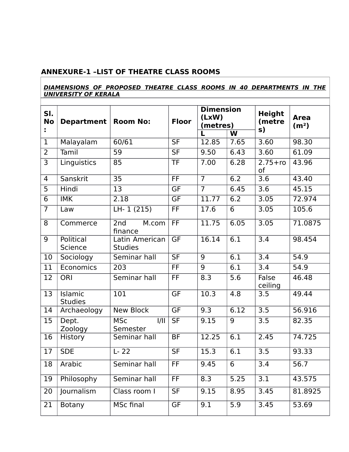#### **ANNEXURE-1 –LIST OF THEATRE CLASS ROOMS**

#### **DIAMENSIONS OF PROPOSED THEATRE CLASS ROOMS IN 40 DEPARTMENTS IN THE UNIVERSITY OF KERALA**

| SI.<br><b>No</b><br>t | <b>Department</b>         | <b>Room No:</b>                       | <b>Floor</b>             | <b>Dimension</b><br>(LxW)<br>(metres) |                  | <b>Height</b><br>(metre<br>s) | <b>Area</b><br>(m <sup>2</sup> ) |
|-----------------------|---------------------------|---------------------------------------|--------------------------|---------------------------------------|------------------|-------------------------------|----------------------------------|
|                       |                           |                                       |                          |                                       | W                |                               |                                  |
| $\mathbf 1$           | Malayalam                 | 60/61                                 | $\overline{\mathsf{SF}}$ | 12.85                                 | 7.65             | 3.60                          | 98.30                            |
| $\overline{2}$        | Tamil                     | 59                                    | SF                       | 9.50                                  | 6.43             | 3.60                          | 61.09                            |
| $\overline{3}$        | Linguistics               | 85                                    | <b>TF</b>                | 7.00                                  | 6.28             | $2.75 +$ ro<br>of             | 43.96                            |
| $\overline{4}$        | Sanskrit                  | 35                                    | <b>FF</b>                | $\overline{7}$                        | 6.2              | $\overline{3.6}$              | 43.40                            |
| 5                     | Hindi                     | 13                                    | GF                       | $\overline{7}$                        | 6.45             | 3.6                           | 45.15                            |
| 6                     | <b>IMK</b>                | 2.18                                  | GF                       | 11.77                                 | 6.2              | 3.05                          | 72.974                           |
| $\overline{7}$        | Law                       | $LH-1(215)$                           | <b>FF</b>                | 17.6                                  | 6                | 3.05                          | 105.6                            |
| 8                     | Commerce                  | $\overline{2}$ nd<br>M.com<br>finance | FF                       | 11.75                                 | 6.05             | 3.05                          | 71.0875                          |
| 9                     | Political<br>Science      | Latin American<br><b>Studies</b>      | GF                       | 16.14                                 | 6.1              | $\overline{3.4}$              | 98.454                           |
| 10                    | Sociology                 | Seminar hall                          | $\overline{\mathsf{SF}}$ | 9                                     | 6.1              | 3.4                           | 54.9                             |
| 11                    | Economics                 | 203                                   | <b>FF</b>                | 9                                     | 6.1              | 3.4                           | 54.9                             |
| 12                    | <b>ORI</b>                | Seminar hall                          | FF                       | 8.3                                   | 5.6              | False<br>ceiling              | 46.48                            |
| 13                    | Islamic<br><b>Studies</b> | 101                                   | <b>GF</b>                | 10.3                                  | 4.8              | 3.5                           | 49.44                            |
| 14                    | Archaeology               | <b>New Block</b>                      | GF                       | 9.3                                   | 6.12             | $\overline{3.5}$              | 56.916                           |
| 15                    | Dept.<br>Zoology          | <b>MSc</b><br>1/11<br>Semester        | <b>SF</b>                | 9.15                                  | 9                | 3.5                           | 82.35                            |
| 16                    | <b>History</b>            | Seminar hall                          | <b>BF</b>                | 12.25                                 | 6.1              | 2.45                          | 74.725                           |
| 17                    | <b>SDE</b>                | $L - 22$                              | <b>SF</b>                | 15.3                                  | 6.1              | 3.5                           | 93.33                            |
| 18                    | Arabic                    | Seminar hall                          | FF.                      | 9.45                                  | 6                | 3.4                           | 56.7                             |
| 19                    | Philosophy                | Seminar hall                          | FF.                      | 8.3                                   | 5.25             | 3.1                           | 43.575                           |
| 20                    | Journalism                | Class room I                          | <b>SF</b>                | 9.15                                  | 8.95             | 3.45                          | 81.8925                          |
| 21                    | <b>Botany</b>             | <b>MSc final</b>                      | GF                       | 9.1                                   | $\overline{5.9}$ | 3.45                          | 53.69                            |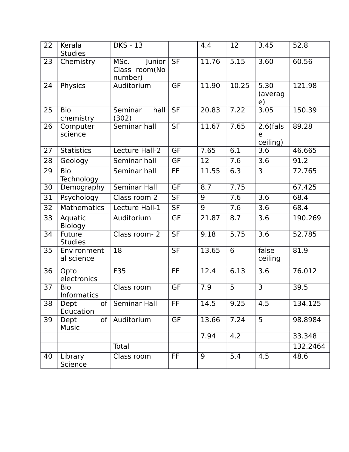| 22 | Kerala<br><b>Studies</b>   | <b>DKS - 13</b>                            |                          | 4.4                | 12                | 3.45                         | 52.8     |
|----|----------------------------|--------------------------------------------|--------------------------|--------------------|-------------------|------------------------------|----------|
| 23 | Chemistry                  | Junior<br>MSc.<br>Class room(No<br>number) | <b>SF</b>                | 11.76              | 5.15              | 3.60                         | 60.56    |
| 24 | Physics                    | Auditorium                                 | GF                       | 11.90              | 10.25             | 5.30<br>(averag<br>e)        | 121.98   |
| 25 | <b>Bio</b><br>chemistry    | Seminar<br>hall<br>(302)                   | <b>SF</b>                | 20.83              | 7.22              | 3.05                         | 150.39   |
| 26 | Computer<br>science        | Seminar hall                               | <b>SF</b>                | $11.\overline{67}$ | 7.65              | $2.6$ (fals<br>e<br>ceiling) | 89.28    |
| 27 | <b>Statistics</b>          | Lecture Hall-2                             | GF                       | 7.65               | 6.1               | 3.6                          | 46.665   |
| 28 | Geology                    | Seminar hall                               | GF                       | 12                 | 7.6               | 3.6                          | 91.2     |
| 29 | <b>Bio</b><br>Technology   | Seminar hall                               | <b>FF</b>                | 11.55              | 6.3               | $\overline{3}$               | 72.765   |
| 30 | Demography                 | Seminar Hall                               | GF                       | 8.7                | 7.75              |                              | 67.425   |
| 31 | Psychology                 | Class room 2                               | SF                       | 9                  | 7.6               | 3.6                          | 68.4     |
| 32 | <b>Mathematics</b>         | Lecture Hall-1                             | $\overline{\mathsf{SF}}$ | 9                  | 7.6               | 3.6                          | 68.4     |
| 33 | Aquatic<br>Biology         | Auditorium                                 | GF                       | 21.87              | 8.7               | 3.6                          | 190.269  |
| 34 | Future<br><b>Studies</b>   | Class room-2                               | <b>SF</b>                | 9.18               | $\overline{5.75}$ | 3.6                          | 52.785   |
| 35 | Environment<br>al science  | 18                                         | <b>SF</b>                | $13.\overline{65}$ | 6                 | false<br>ceiling             | 81.9     |
| 36 | Opto<br>electronics        | F35                                        | $\overline{FF}$          | 12.4               | 6.13              | $\overline{3.6}$             | 76.012   |
| 37 | <b>Bio</b><br>Informatics  | Class room                                 | GF                       | 7.9                | $\overline{5}$    | $\overline{3}$               | 39.5     |
| 38 | of<br>Dept<br>Education    | Seminar Hall                               | FF.                      | 14.5               | 9.25              | 4.5                          | 134.125  |
| 39 | of<br>Dept<br><b>Music</b> | Auditorium                                 | GF                       | 13.66              | 7.24              | $\overline{5}$               | 98.8984  |
|    |                            |                                            |                          | 7.94               | 4.2               |                              | 33.348   |
|    |                            | Total                                      |                          |                    |                   |                              | 132.2464 |
| 40 | Library<br>Science         | Class room                                 | <b>FF</b>                | 9                  | 5.4               | 4.5                          | 48.6     |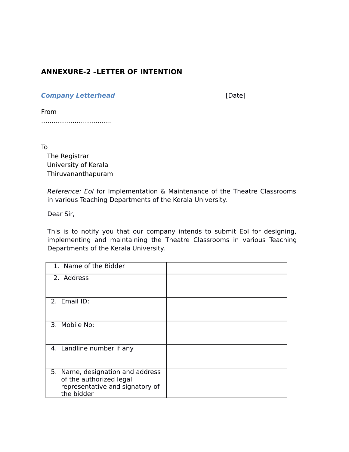#### **ANNEXURE-2 –LETTER OF INTENTION**

#### **Company Letterhead** [Date]

From

…………………………….

To

 The Registrar University of Kerala Thiruvananthapuram

Reference: EoI for Implementation & Maintenance of the Theatre Classrooms in various Teaching Departments of the Kerala University.

Dear Sir,

This is to notify you that our company intends to submit EoI for designing, implementing and maintaining the Theatre Classrooms in various Teaching Departments of the Kerala University.

| 1. Name of the Bidder                                                                                        |  |
|--------------------------------------------------------------------------------------------------------------|--|
| 2. Address                                                                                                   |  |
| 2. Email ID:                                                                                                 |  |
| 3. Mobile No:                                                                                                |  |
| 4. Landline number if any                                                                                    |  |
| 5. Name, designation and address<br>of the authorized legal<br>representative and signatory of<br>the bidder |  |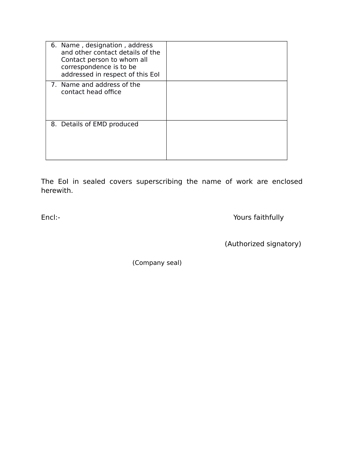| 6. Name, designation, address<br>and other contact details of the<br>Contact person to whom all<br>correspondence is to be<br>addressed in respect of this Eol |  |
|----------------------------------------------------------------------------------------------------------------------------------------------------------------|--|
| 7. Name and address of the<br>contact head office                                                                                                              |  |
| 8. Details of EMD produced                                                                                                                                     |  |

The EoI in sealed covers superscribing the name of work are enclosed herewith.

Encl:- Yours faithfully

(Authorized signatory)

(Company seal)